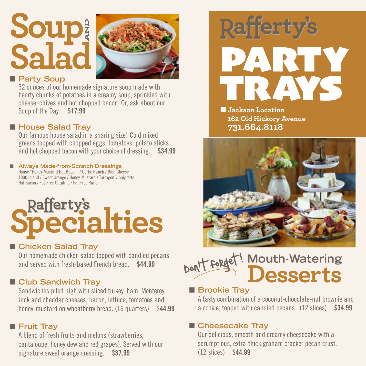## **Soup Salad AND**



#### **n** Party Soup

32 ounces of our homemade signature soup made with hearty chunks of potatoes in a creamy soup, sprinkled with cheese, chives and hot chopped bacon. Or, ask about our Soup of the Day. \$17.99

#### ■ House Salad Tray

Our famous house salad in a sharing size! Cold mixed greens topped with chopped eggs, tomatoes, potato sticks and hot chopped bacon with your choice of dressing. \$34.99

#### ■ Always Made-from-Scratch Dressings House "Honey-Mustard Hot Bacon" / Garlic Ranch / Bleu Cheese

1000 Island / Sweet Orange / Honey-Mustard / Tarragon Vinaigrette Hot Bacon / Fat-Free Catalina / Fat-Free Ranch

# **Rafferty's**<br>**Pecialties**

#### ■ Chicken Salad Tray

Our homemade chicken salad topped with candied pecans and served with fresh-baked French bread. \$44.99

#### **n** Club Sandwich Tray

Sandwiches piled high with sliced turkey, ham, Monterey Jack and cheddar cheeses, bacon, lettuce, tomatoes and honey-mustard on wheatberry bread. (16 quarters) \$44.99

#### **n** Fruit Tray

A blend of fresh fruits and melons (strawberries, cantaloupe, honey dew and red grapes). Served with our signature sweet orange dressing. \$37.99



**N**Jackson Location **162 Old Hickory Avenue 731.664.8118**



#### **Mouth-Watering Desserts** Don't forget!  $\overline{\phantom{a}}$

#### **n** Brookie Tray

A tasty combination of a coconut-chocolate-nut brownie and a cookie, topped with candied pecans. (12 slices) \$34.99

#### ■ Cheesecake Tray

Our delicious, smooth and creamy cheesecake with a scrumptious, extra-thick graham cracker pecan crust. (12 slices) \$44.99